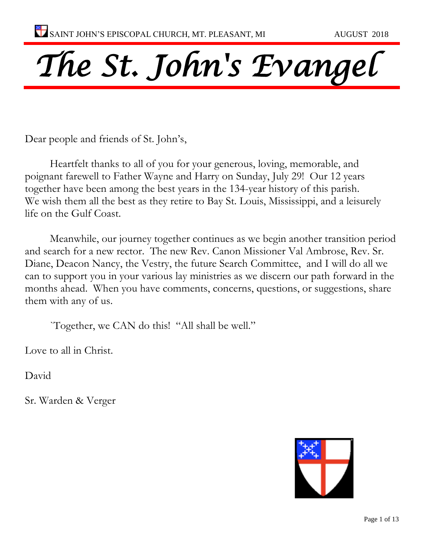# *The St. John's Evangel*

Dear people and friends of St. John's,

Heartfelt thanks to all of you for your generous, loving, memorable, and poignant farewell to Father Wayne and Harry on Sunday, July 29! Our 12 years together have been among the best years in the 134-year history of this parish. We wish them all the best as they retire to Bay St. Louis, Mississippi, and a leisurely life on the Gulf Coast.

Meanwhile, our journey together continues as we begin another transition period and search for a new rector. The new Rev. Canon Missioner Val Ambrose, Rev. Sr. Diane, Deacon Nancy, the Vestry, the future Search Committee, and I will do all we can to support you in your various lay ministries as we discern our path forward in the months ahead. When you have comments, concerns, questions, or suggestions, share them with any of us.

`Together, we CAN do this! "All shall be well."

Love to all in Christ.

David

Sr. Warden & Verger

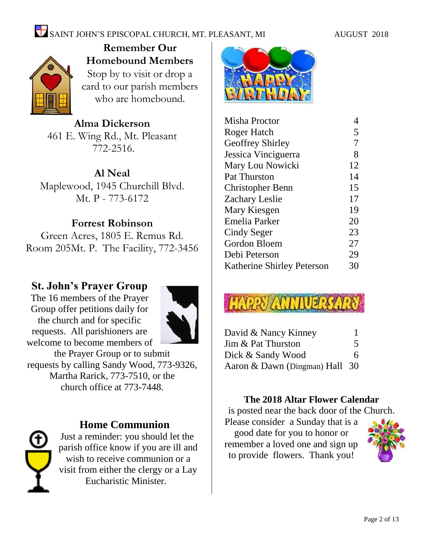

**Remember Our Homebound Members** Stop by to visit or drop a card to our parish members who are homebound.

**Alma Dickerson** 461 E. Wing Rd., Mt. Pleasant 772-2516.

**Al Neal**

Maplewood, 1945 Churchill Blvd. Mt. P - 773-6172

## **Forrest Robinson**

Green Acres, 1805 E. Remus Rd. Room 205Mt. P. The Facility, 772-3456

## **St. John's Prayer Group**

The 16 members of the Prayer Group offer petitions daily for the church and for specific requests. All parishioners are welcome to become members of



the Prayer Group or to submit requests by calling Sandy Wood, 773-9326, Martha Rarick, 773-7510, or the church office at 773-7448.



## **Home Communion**

Just a reminder: you should let the parish office know if you are ill and wish to receive communion or a visit from either the clergy or a Lay Eucharistic Minister.



| Misha Proctor                     | 4  |
|-----------------------------------|----|
| Roger Hatch                       | 5  |
| <b>Geoffrey Shirley</b>           | 7  |
| Jessica Vinciguerra               | 8  |
| Mary Lou Nowicki                  | 12 |
| Pat Thurston                      | 14 |
| Christopher Benn                  | 15 |
| <b>Zachary Leslie</b>             | 17 |
| Mary Kiesgen                      | 19 |
| Emelia Parker                     | 20 |
| Cindy Seger                       | 23 |
| Gordon Bloem                      | 27 |
| Debi Peterson                     | 29 |
| <b>Katherine Shirley Peterson</b> | 30 |

| David & Nancy Kinney           |   |
|--------------------------------|---|
| Jim & Pat Thurston             | 5 |
| Dick & Sandy Wood              | 6 |
| Aaron & Dawn (Dingman) Hall 30 |   |

## **The 2018 Altar Flower Calendar**

is posted near the back door of the Church. Please consider a Sunday that is a

good date for you to honor or remember a loved one and sign up to provide flowers. Thank you!

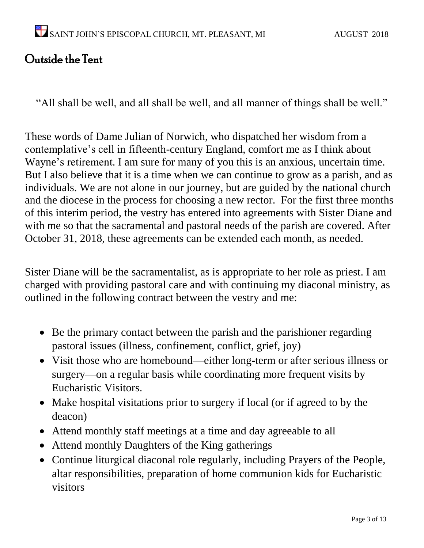## Outside the Tent

"All shall be well, and all shall be well, and all manner of things shall be well."

These words of Dame Julian of Norwich, who dispatched her wisdom from a contemplative's cell in fifteenth-century England, comfort me as I think about Wayne's retirement. I am sure for many of you this is an anxious, uncertain time. But I also believe that it is a time when we can continue to grow as a parish, and as individuals. We are not alone in our journey, but are guided by the national church and the diocese in the process for choosing a new rector. For the first three months of this interim period, the vestry has entered into agreements with Sister Diane and with me so that the sacramental and pastoral needs of the parish are covered. After October 31, 2018, these agreements can be extended each month, as needed.

Sister Diane will be the sacramentalist, as is appropriate to her role as priest. I am charged with providing pastoral care and with continuing my diaconal ministry, as outlined in the following contract between the vestry and me:

- Be the primary contact between the parish and the parishioner regarding pastoral issues (illness, confinement, conflict, grief, joy)
- Visit those who are homebound—either long-term or after serious illness or surgery—on a regular basis while coordinating more frequent visits by Eucharistic Visitors.
- Make hospital visitations prior to surgery if local (or if agreed to by the deacon)
- Attend monthly staff meetings at a time and day agreeable to all
- Attend monthly Daughters of the King gatherings
- Continue liturgical diaconal role regularly, including Prayers of the People, altar responsibilities, preparation of home communion kids for Eucharistic visitors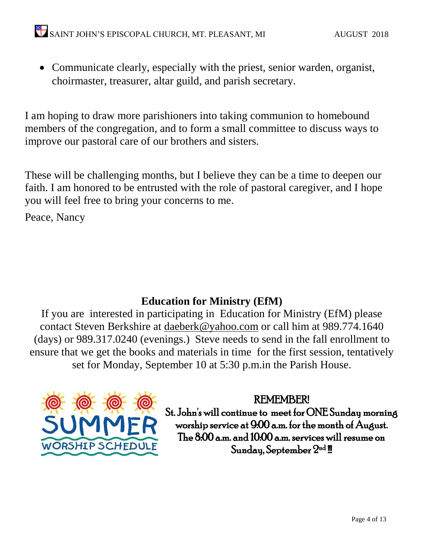• Communicate clearly, especially with the priest, senior warden, organist, choirmaster, treasurer, altar guild, and parish secretary.

I am hoping to draw more parishioners into taking communion to homebound members of the congregation, and to form a small committee to discuss ways to improve our pastoral care of our brothers and sisters.

These will be challenging months, but I believe they can be a time to deepen our faith. I am honored to be entrusted with the role of pastoral caregiver, and I hope you will feel free to bring your concerns to me.

Peace, Nancy

## **Education for Ministry (EfM)**

If you are interested in participating in Education for Ministry (EfM) please contact Steven Berkshire at [daeberk@yahoo.com](mailto:daeberk@yahoo.com) or call him at 989.774.1640 (days) or 989.317.0240 (evenings.) Steve needs to send in the fall enrollment to ensure that we get the books and materials in time for the first session, tentatively set for Monday, September 10 at 5:30 p.m.in the Parish House.



REMEMBER!

St. John's will continue to meet for ONE Sunday morning worship service at 9:00 a.m. for the month of August. The 8:00 a.m. and 10:00 a.m. services will resume on  $\operatorname{\mathsf{Sunday}}\nolimits, \operatorname{\mathsf{September}}\nolimits 2^{\operatorname{nd}}$  !!!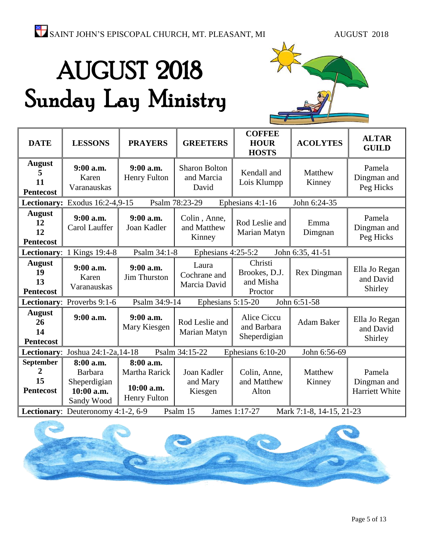# AUGUST 2018 Sunday Lay Ministry



| <b>DATE</b>                                   | <b>LESSONS</b>                                                          | <b>PRAYERS</b>                                                  | <b>GREETERS</b>                             | <b>COFFEE</b><br><b>HOUR</b><br><b>HOSTS</b>      | <b>ACOLYTES</b>          | <b>ALTAR</b><br><b>GUILD</b>            |
|-----------------------------------------------|-------------------------------------------------------------------------|-----------------------------------------------------------------|---------------------------------------------|---------------------------------------------------|--------------------------|-----------------------------------------|
| <b>August</b><br>11<br><b>Pentecost</b>       | 9:00 a.m.<br>Karen<br>Varanauskas                                       | $9:00$ a.m.<br>Henry Fulton                                     | <b>Sharon Bolton</b><br>and Marcia<br>David | Kendall and<br>Lois Klumpp                        | Matthew<br>Kinney        | Pamela<br>Dingman and<br>Peg Hicks      |
|                                               | Lectionary: Exodus 16:2-4,9-15                                          |                                                                 | Psalm 78:23-29                              | Ephesians 4:1-16                                  | John 6:24-35             |                                         |
| <b>August</b><br>12<br>12<br><b>Pentecost</b> | 9:00 a.m.<br>Carol Lauffer                                              | $9:00$ a.m.<br>Joan Kadler                                      | Colin, Anne,<br>and Matthew<br>Kinney       | Rod Leslie and<br>Marian Matyn                    | Emma<br>Dimgnan          | Pamela<br>Dingman and<br>Peg Hicks      |
| Lectionary:                                   | 1 Kings 19:4-8                                                          | Psalm 34:1-8                                                    | Ephesians 4:25-5:2                          |                                                   | John 6:35, 41-51         |                                         |
| <b>August</b><br>19<br>13<br><b>Pentecost</b> | 9:00 a.m.<br>Karen<br>Varanauskas                                       | 9:00 a.m.<br><b>Jim Thurston</b>                                | Laura<br>Cochrane and<br>Marcia David       | Christi<br>Brookes, D.J.<br>and Misha<br>Proctor  | Rex Dingman              | Ella Jo Regan<br>and David<br>Shirley   |
|                                               | Lectionary: Proverbs 9:1-6                                              | Psalm 34:9-14                                                   | Ephesians 5:15-20                           |                                                   | John 6:51-58             |                                         |
| <b>August</b><br>26<br>14<br><b>Pentecost</b> | 9:00 a.m.                                                               | $9:00$ a.m.<br>Mary Kiesgen                                     | Rod Leslie and<br>Marian Matyn              | <b>Alice Ciccu</b><br>and Barbara<br>Sheperdigian | <b>Adam Baker</b>        | Ella Jo Regan<br>and David<br>Shirley   |
| Lectionary:                                   | Joshua 24:1-2a, 14-18                                                   |                                                                 | Psalm 34:15-22                              | Ephesians 6:10-20                                 | John 6:56-69             |                                         |
| September<br>2<br>15<br><b>Pentecost</b>      | 8:00 a.m.<br><b>Barbara</b><br>Sheperdigian<br>10:00 a.m.<br>Sandy Wood | 8:00 a.m.<br>Martha Rarick<br>10:00 a.m.<br><b>Henry Fulton</b> | Joan Kadler<br>and Mary<br>Kiesgen          | Colin, Anne,<br>and Matthew<br>Alton              | Matthew<br>Kinney        | Pamela<br>Dingman and<br>Harriett White |
|                                               | Lectionary: Deuteronomy 4:1-2, 6-9                                      |                                                                 | Psalm 15                                    | James 1:17-27                                     | Mark 7:1-8, 14-15, 21-23 |                                         |

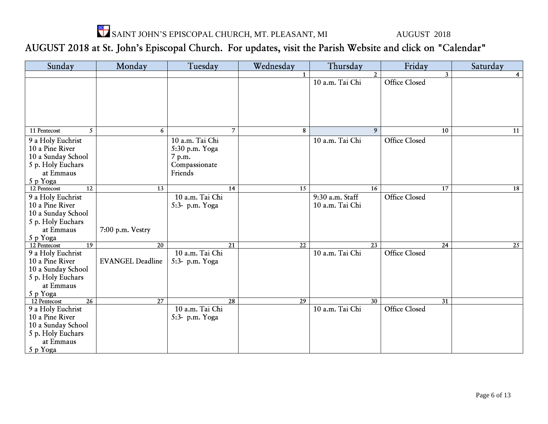

## AUGUST 2018 at St. John's Episcopal Church. For updates, visit the Parish Website and click on "Calendar"

| Sunday                          | Monday                  | Tuesday         | Wednesday       | Thursday        | Friday               | Saturday |
|---------------------------------|-------------------------|-----------------|-----------------|-----------------|----------------------|----------|
|                                 |                         |                 |                 | $\overline{2}$  | $\mathbf{3}$         | 4        |
|                                 |                         |                 |                 | 10 a.m. Tai Chi | Office Closed        |          |
|                                 |                         |                 |                 |                 |                      |          |
|                                 |                         |                 |                 |                 |                      |          |
|                                 |                         |                 |                 |                 |                      |          |
|                                 |                         |                 |                 |                 |                      |          |
|                                 |                         |                 |                 |                 |                      |          |
| 11 Pentecost<br>5               | 6                       | $\overline{7}$  | 8               | 9               | 10                   | 11       |
| 9 a Holy Euchrist               |                         | 10 a.m. Tai Chi |                 | 10 a.m. Tai Chi | <b>Office Closed</b> |          |
| 10 a Pine River                 |                         | 5:30 p.m. Yoga  |                 |                 |                      |          |
| 10 a Sunday School              |                         | 7 p.m.          |                 |                 |                      |          |
| 5 p. Holy Euchars               |                         | Compassionate   |                 |                 |                      |          |
| at Emmaus                       |                         | Friends         |                 |                 |                      |          |
| 5 p Yoga                        |                         |                 |                 |                 |                      |          |
| $\overline{12}$<br>12 Pentecost | 13                      | 14              | 15              | 16              | 17                   | 18       |
| 9 a Holy Euchrist               |                         | 10 a.m. Tai Chi |                 | 9:30 a.m. Staff | <b>Office Closed</b> |          |
| 10 a Pine River                 |                         | 5:3- p.m. Yoga  |                 | 10 a.m. Tai Chi |                      |          |
| 10 a Sunday School              |                         |                 |                 |                 |                      |          |
| 5 p. Holy Euchars               |                         |                 |                 |                 |                      |          |
| at Emmaus                       | 7:00 p.m. Vestry        |                 |                 |                 |                      |          |
| 5 p Yoga                        |                         |                 |                 |                 |                      |          |
| $\overline{19}$<br>12 Pentecost | 20                      | 21              | 22              | 23              | 24                   | 25       |
| 9 a Holy Euchrist               |                         | 10 a.m. Tai Chi |                 | 10 a.m. Tai Chi | <b>Office Closed</b> |          |
| 10 a Pine River                 | <b>EVANGEL Deadline</b> | 5:3- p.m. Yoga  |                 |                 |                      |          |
| 10 a Sunday School              |                         |                 |                 |                 |                      |          |
| 5 p. Holy Euchars               |                         |                 |                 |                 |                      |          |
| at Emmaus                       |                         |                 |                 |                 |                      |          |
| 5 p Yoga                        |                         |                 |                 |                 |                      |          |
| $\overline{26}$<br>12 Pentecost | 27                      | $\overline{28}$ | $\overline{29}$ | $\overline{30}$ | 31                   |          |
| 9 a Holy Euchrist               |                         | 10 a.m. Tai Chi |                 | 10 a.m. Tai Chi | <b>Office Closed</b> |          |
| 10 a Pine River                 |                         | 5:3- p.m. Yoga  |                 |                 |                      |          |
| 10 a Sunday School              |                         |                 |                 |                 |                      |          |
| 5 p. Holy Euchars               |                         |                 |                 |                 |                      |          |
| at Emmaus                       |                         |                 |                 |                 |                      |          |
| 5 p Yoga                        |                         |                 |                 |                 |                      |          |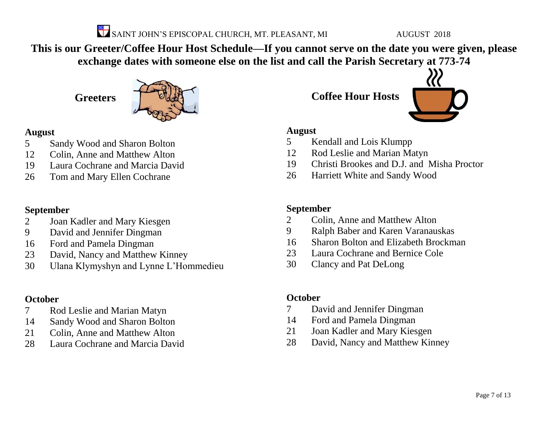

**This is our Greeter/Coffee Hour Host Schedule—If you cannot serve on the date you were given, please exchange dates with someone else on the list and call the Parish Secretary at 773-74**

**Greeters**



## **August**

- Sandy Wood and Sharon Bolton
- Colin, Anne and Matthew Alton
- Laura Cochrane and Marcia David
- Tom and Mary Ellen Cochrane

## **September**

- Joan Kadler and Mary Kiesgen
- David and Jennifer Dingman
- Ford and Pamela Dingman
- David, Nancy and Matthew Kinney
- Ulana Klymyshyn and Lynne L'Hommedieu

## **October**

- Rod Leslie and Marian Matyn
- Sandy Wood and Sharon Bolton
- Colin, Anne and Matthew Alton
- Laura Cochrane and Marcia David

**Coffee Hour Hosts**



## **August**

- Kendall and Lois Klumpp
- Rod Leslie and Marian Matyn
- Christi Brookes and D.J. and Misha Proctor
- Harriett White and Sandy Wood

## **September**

- Colin, Anne and Matthew Alton
- Ralph Baber and Karen Varanauskas
- Sharon Bolton and Elizabeth Brockman
- Laura Cochrane and Bernice Cole
- Clancy and Pat DeLong

## **October**

- David and Jennifer Dingman
- Ford and Pamela Dingman
- Joan Kadler and Mary Kiesgen
- David, Nancy and Matthew Kinney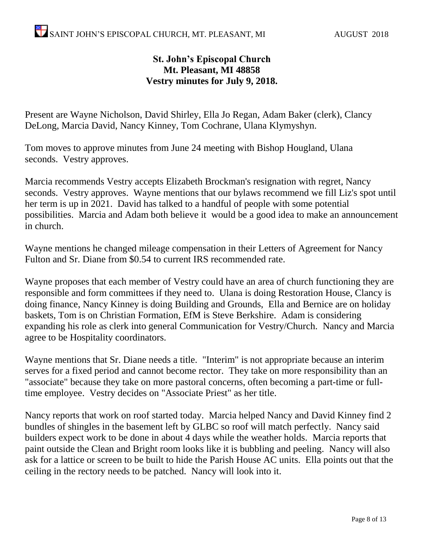## **St. John's Episcopal Church Mt. Pleasant, MI 48858 Vestry minutes for July 9, 2018.**

Present are Wayne Nicholson, David Shirley, Ella Jo Regan, Adam Baker (clerk), Clancy DeLong, Marcia David, Nancy Kinney, Tom Cochrane, Ulana Klymyshyn.

Tom moves to approve minutes from June 24 meeting with Bishop Hougland, Ulana seconds. Vestry approves.

Marcia recommends Vestry accepts Elizabeth Brockman's resignation with regret, Nancy seconds. Vestry approves. Wayne mentions that our bylaws recommend we fill Liz's spot until her term is up in 2021. David has talked to a handful of people with some potential possibilities. Marcia and Adam both believe it would be a good idea to make an announcement in church.

Wayne mentions he changed mileage compensation in their Letters of Agreement for Nancy Fulton and Sr. Diane from \$0.54 to current IRS recommended rate.

Wayne proposes that each member of Vestry could have an area of church functioning they are responsible and form committees if they need to. Ulana is doing Restoration House, Clancy is doing finance, Nancy Kinney is doing Building and Grounds, Ella and Bernice are on holiday baskets, Tom is on Christian Formation, EfM is Steve Berkshire. Adam is considering expanding his role as clerk into general Communication for Vestry/Church. Nancy and Marcia agree to be Hospitality coordinators.

Wayne mentions that Sr. Diane needs a title. "Interim" is not appropriate because an interim serves for a fixed period and cannot become rector. They take on more responsibility than an "associate" because they take on more pastoral concerns, often becoming a part-time or fulltime employee. Vestry decides on "Associate Priest" as her title.

Nancy reports that work on roof started today. Marcia helped Nancy and David Kinney find 2 bundles of shingles in the basement left by GLBC so roof will match perfectly. Nancy said builders expect work to be done in about 4 days while the weather holds. Marcia reports that paint outside the Clean and Bright room looks like it is bubbling and peeling. Nancy will also ask for a lattice or screen to be built to hide the Parish House AC units. Ella points out that the ceiling in the rectory needs to be patched. Nancy will look into it.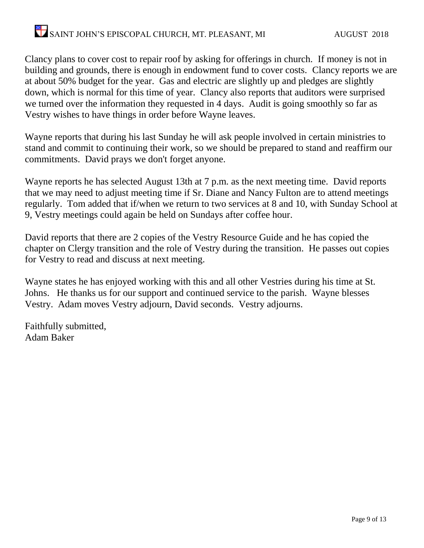Clancy plans to cover cost to repair roof by asking for offerings in church. If money is not in building and grounds, there is enough in endowment fund to cover costs. Clancy reports we are at about 50% budget for the year. Gas and electric are slightly up and pledges are slightly down, which is normal for this time of year. Clancy also reports that auditors were surprised we turned over the information they requested in 4 days. Audit is going smoothly so far as Vestry wishes to have things in order before Wayne leaves.

Wayne reports that during his last Sunday he will ask people involved in certain ministries to stand and commit to continuing their work, so we should be prepared to stand and reaffirm our commitments. David prays we don't forget anyone.

Wayne reports he has selected August 13th at 7 p.m. as the next meeting time. David reports that we may need to adjust meeting time if Sr. Diane and Nancy Fulton are to attend meetings regularly. Tom added that if/when we return to two services at 8 and 10, with Sunday School at 9, Vestry meetings could again be held on Sundays after coffee hour.

David reports that there are 2 copies of the Vestry Resource Guide and he has copied the chapter on Clergy transition and the role of Vestry during the transition. He passes out copies for Vestry to read and discuss at next meeting.

Wayne states he has enjoyed working with this and all other Vestries during his time at St. Johns. He thanks us for our support and continued service to the parish. Wayne blesses Vestry. Adam moves Vestry adjourn, David seconds. Vestry adjourns.

Faithfully submitted, Adam Baker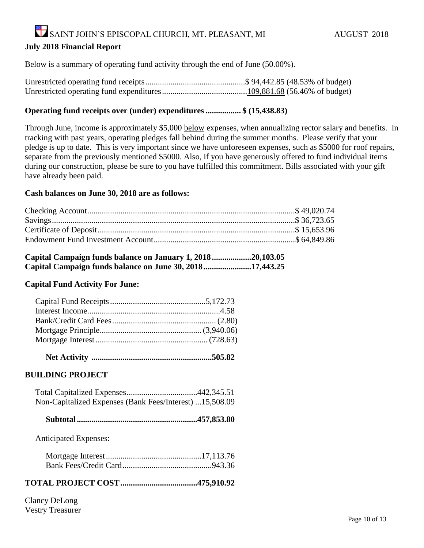#### **July 2018 Financial Report**

Below is a summary of operating fund activity through the end of June (50.00%).

#### **Operating fund receipts over (under) expenditures ................. \$ (15,438.83)**

Through June, income is approximately \$5,000 below expenses, when annualizing rector salary and benefits. In tracking with past years, operating pledges fall behind during the summer months. Please verify that your pledge is up to date. This is very important since we have unforeseen expenses, such as \$5000 for roof repairs, separate from the previously mentioned \$5000. Also, if you have generously offered to fund individual items during our construction, please be sure to you have fulfilled this commitment. Bills associated with your gift have already been paid.

#### **Cash balances on June 30, 2018 are as follows:**

| Capital Campaign funds balance on January 1, 201820,103.05 |  |
|------------------------------------------------------------|--|
| Capital Campaign funds balance on June 30, 2018 17,443.25  |  |

#### **Capital Fund Activity For June:**

|--|--|

#### **BUILDING PROJECT**

| Non-Capitalized Expenses (Bank Fees/Interest) 15,508.09 |  |
|---------------------------------------------------------|--|

|--|--|--|--|--|

Anticipated Expenses:

#### **TOTAL PROJECT COST.....................................475,910.92**

Clancy DeLong Vestry Treasurer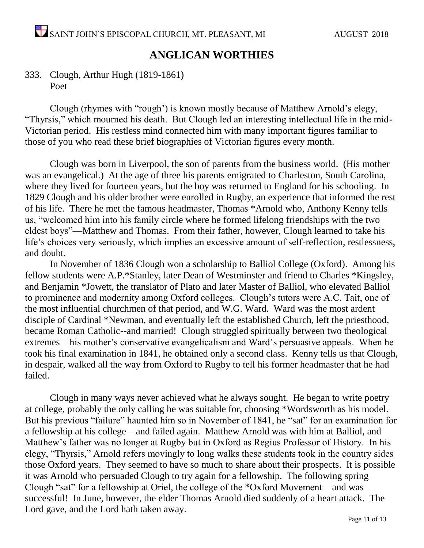## **ANGLICAN WORTHIES**

## 333. Clough, Arthur Hugh (1819-1861) Poet

Clough (rhymes with "rough') is known mostly because of Matthew Arnold's elegy, "Thyrsis," which mourned his death. But Clough led an interesting intellectual life in the mid-Victorian period. His restless mind connected him with many important figures familiar to those of you who read these brief biographies of Victorian figures every month.

Clough was born in Liverpool, the son of parents from the business world. (His mother was an evangelical.) At the age of three his parents emigrated to Charleston, South Carolina, where they lived for fourteen years, but the boy was returned to England for his schooling. In 1829 Clough and his older brother were enrolled in Rugby, an experience that informed the rest of his life. There he met the famous headmaster, Thomas \*Arnold who, Anthony Kenny tells us, "welcomed him into his family circle where he formed lifelong friendships with the two eldest boys"—Matthew and Thomas. From their father, however, Clough learned to take his life's choices very seriously, which implies an excessive amount of self-reflection, restlessness, and doubt.

In November of 1836 Clough won a scholarship to Balliol College (Oxford). Among his fellow students were A.P.\*Stanley, later Dean of Westminster and friend to Charles \*Kingsley, and Benjamin \*Jowett, the translator of Plato and later Master of Balliol, who elevated Balliol to prominence and modernity among Oxford colleges. Clough's tutors were A.C. Tait, one of the most influential churchmen of that period, and W.G. Ward. Ward was the most ardent disciple of Cardinal \*Newman, and eventually left the established Church, left the priesthood, became Roman Catholic--and married! Clough struggled spiritually between two theological extremes—his mother's conservative evangelicalism and Ward's persuasive appeals. When he took his final examination in 1841, he obtained only a second class. Kenny tells us that Clough, in despair, walked all the way from Oxford to Rugby to tell his former headmaster that he had failed.

Clough in many ways never achieved what he always sought. He began to write poetry at college, probably the only calling he was suitable for, choosing \*Wordsworth as his model. But his previous "failure" haunted him so in November of 1841, he "sat" for an examination for a fellowship at his college—and failed again. Matthew Arnold was with him at Balliol, and Matthew's father was no longer at Rugby but in Oxford as Regius Professor of History. In his elegy, "Thyrsis," Arnold refers movingly to long walks these students took in the country sides those Oxford years. They seemed to have so much to share about their prospects. It is possible it was Arnold who persuaded Clough to try again for a fellowship. The following spring Clough "sat" for a fellowship at Oriel, the college of the \*Oxford Movement—and was successful! In June, however, the elder Thomas Arnold died suddenly of a heart attack. The Lord gave, and the Lord hath taken away.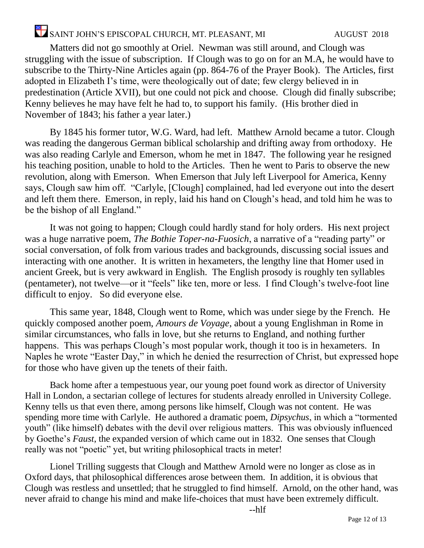Matters did not go smoothly at Oriel. Newman was still around, and Clough was struggling with the issue of subscription. If Clough was to go on for an M.A, he would have to subscribe to the Thirty-Nine Articles again (pp. 864-76 of the Prayer Book). The Articles, first adopted in Elizabeth I's time, were theologically out of date; few clergy believed in in predestination (Article XVII), but one could not pick and choose. Clough did finally subscribe; Kenny believes he may have felt he had to, to support his family. (His brother died in November of 1843; his father a year later.)

By 1845 his former tutor, W.G. Ward, had left. Matthew Arnold became a tutor. Clough was reading the dangerous German biblical scholarship and drifting away from orthodoxy. He was also reading Carlyle and Emerson, whom he met in 1847. The following year he resigned his teaching position, unable to hold to the Articles. Then he went to Paris to observe the new revolution, along with Emerson. When Emerson that July left Liverpool for America, Kenny says, Clough saw him off. "Carlyle, [Clough] complained, had led everyone out into the desert and left them there. Emerson, in reply, laid his hand on Clough's head, and told him he was to be the bishop of all England."

It was not going to happen; Clough could hardly stand for holy orders. His next project was a huge narrative poem, *The Bothie Toper-na-Fuosich*, a narrative of a "reading party" or social conversation, of folk from various trades and backgrounds, discussing social issues and interacting with one another. It is written in hexameters, the lengthy line that Homer used in ancient Greek, but is very awkward in English. The English prosody is roughly ten syllables (pentameter), not twelve—or it "feels" like ten, more or less. I find Clough's twelve-foot line difficult to enjoy. So did everyone else.

This same year, 1848, Clough went to Rome, which was under siege by the French. He quickly composed another poem, *Amours de Voyage*, about a young Englishman in Rome in similar circumstances, who falls in love, but she returns to England, and nothing further happens. This was perhaps Clough's most popular work, though it too is in hexameters. In Naples he wrote "Easter Day," in which he denied the resurrection of Christ, but expressed hope for those who have given up the tenets of their faith.

Back home after a tempestuous year, our young poet found work as director of University Hall in London, a sectarian college of lectures for students already enrolled in University College. Kenny tells us that even there, among persons like himself, Clough was not content. He was spending more time with Carlyle. He authored a dramatic poem, *Dipsychus*, in which a "tormented youth" (like himself) debates with the devil over religious matters. This was obviously influenced by Goethe's *Faust*, the expanded version of which came out in 1832. One senses that Clough really was not "poetic" yet, but writing philosophical tracts in meter!

Lionel Trilling suggests that Clough and Matthew Arnold were no longer as close as in Oxford days, that philosophical differences arose between them. In addition, it is obvious that Clough was restless and unsettled; that he struggled to find himself. Arnold, on the other hand, was never afraid to change his mind and make life-choices that must have been extremely difficult.